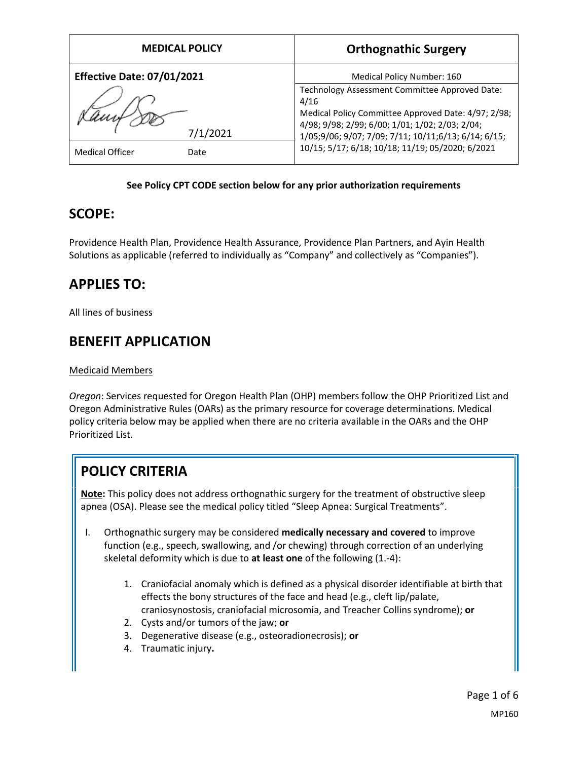| <b>MEDICAL POLICY</b>             | <b>Orthognathic Surgery</b>                                                                                                                                                                                              |  |  |  |
|-----------------------------------|--------------------------------------------------------------------------------------------------------------------------------------------------------------------------------------------------------------------------|--|--|--|
| <b>Effective Date: 07/01/2021</b> | Medical Policy Number: 160                                                                                                                                                                                               |  |  |  |
| 7/1/2021                          | Technology Assessment Committee Approved Date:<br>4/16<br>Medical Policy Committee Approved Date: 4/97; 2/98;<br>4/98; 9/98; 2/99; 6/00; 1/01; 1/02; 2/03; 2/04;<br>1/05;9/06; 9/07; 7/09; 7/11; 10/11;6/13; 6/14; 6/15; |  |  |  |
| <b>Medical Officer</b><br>Date    | 10/15; 5/17; 6/18; 10/18; 11/19; 05/2020; 6/2021                                                                                                                                                                         |  |  |  |

#### **See Policy CPT CODE section below for any prior authorization requirements**

### **SCOPE:**

Providence Health Plan, Providence Health Assurance, Providence Plan Partners, and Ayin Health Solutions as applicable (referred to individually as "Company" and collectively as "Companies").

### **APPLIES TO:**

All lines of business

### **BENEFIT APPLICATION**

#### Medicaid Members

*Oregon*: Services requested for Oregon Health Plan (OHP) members follow the OHP Prioritized List and Oregon Administrative Rules (OARs) as the primary resource for coverage determinations. Medical policy criteria below may be applied when there are no criteria available in the OARs and the OHP Prioritized List.

# **POLICY CRITERIA**

**Note:** This policy does not address orthognathic surgery for the treatment of obstructive sleep apnea (OSA). Please see the medical policy titled "Sleep Apnea: Surgical Treatments".

- I. Orthognathic surgery may be considered **medically necessary and covered** to improve function (e.g., speech, swallowing, and /or chewing) through correction of an underlying skeletal deformity which is due to **at least one** of the following (1.-4):
	- 1. Craniofacial anomaly which is defined as a physical disorder identifiable at birth that effects the bony structures of the face and head (e.g., cleft lip/palate, craniosynostosis, craniofacial microsomia, and Treacher Collins syndrome); **or**
	- 2. Cysts and/or tumors of the jaw; **or**
	- 3. Degenerative disease (e.g., osteoradionecrosis); **or**
	- 4. Traumatic injury**.**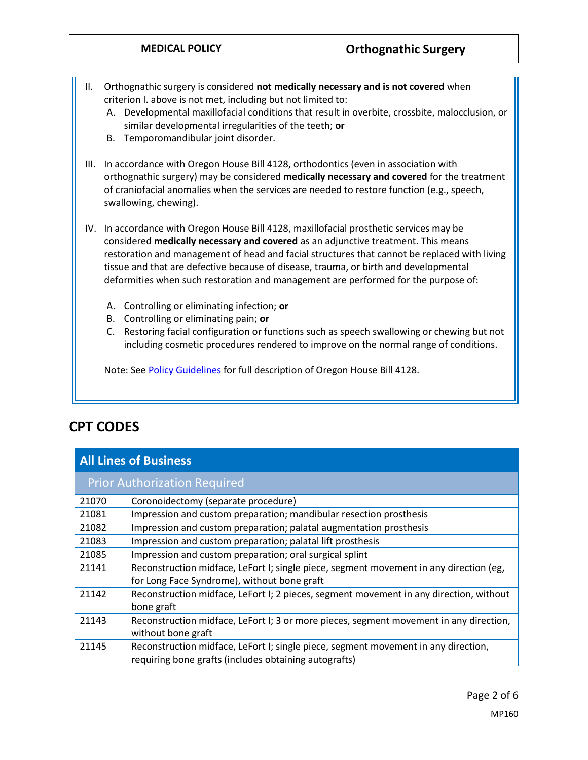- II. Orthognathic surgery is considered **not medically necessary and is not covered** when criterion I. above is not met, including but not limited to:
	- A. Developmental maxillofacial conditions that result in overbite, crossbite, malocclusion, or similar developmental irregularities of the teeth; **or**
	- B. Temporomandibular joint disorder.
- III. In accordance with Oregon House Bill 4128, orthodontics (even in association with orthognathic surgery) may be considered **medically necessary and covered** for the treatment of craniofacial anomalies when the services are needed to restore function (e.g., speech, swallowing, chewing).
- IV. In accordance with Oregon House Bill 4128, maxillofacial prosthetic services may be considered **medically necessary and covered** as an adjunctive treatment. This means restoration and management of head and facial structures that cannot be replaced with living tissue and that are defective because of disease, trauma, or birth and developmental deformities when such restoration and management are performed for the purpose of:
	- A. Controlling or eliminating infection; **or**
	- B. Controlling or eliminating pain; **or**
	- C. Restoring facial configuration or functions such as speech swallowing or chewing but not including cosmetic procedures rendered to improve on the normal range of conditions.

Note: Se[e Policy Guidelines](#page-3-0) for full description of Oregon House Bill 4128.

### **CPT CODES**

| <b>All Lines of Business</b>        |                                                                                                                                             |  |
|-------------------------------------|---------------------------------------------------------------------------------------------------------------------------------------------|--|
| <b>Prior Authorization Required</b> |                                                                                                                                             |  |
| 21070                               | Coronoidectomy (separate procedure)                                                                                                         |  |
| 21081                               | Impression and custom preparation; mandibular resection prosthesis                                                                          |  |
| 21082                               | Impression and custom preparation; palatal augmentation prosthesis                                                                          |  |
| 21083                               | Impression and custom preparation; palatal lift prosthesis                                                                                  |  |
| 21085                               | Impression and custom preparation; oral surgical splint                                                                                     |  |
| 21141                               | Reconstruction midface, LeFort I; single piece, segment movement in any direction (eg,<br>for Long Face Syndrome), without bone graft       |  |
| 21142                               | Reconstruction midface, LeFort I; 2 pieces, segment movement in any direction, without<br>bone graft                                        |  |
| 21143                               | Reconstruction midface, LeFort I; 3 or more pieces, segment movement in any direction,<br>without bone graft                                |  |
| 21145                               | Reconstruction midface, LeFort I; single piece, segment movement in any direction,<br>requiring bone grafts (includes obtaining autografts) |  |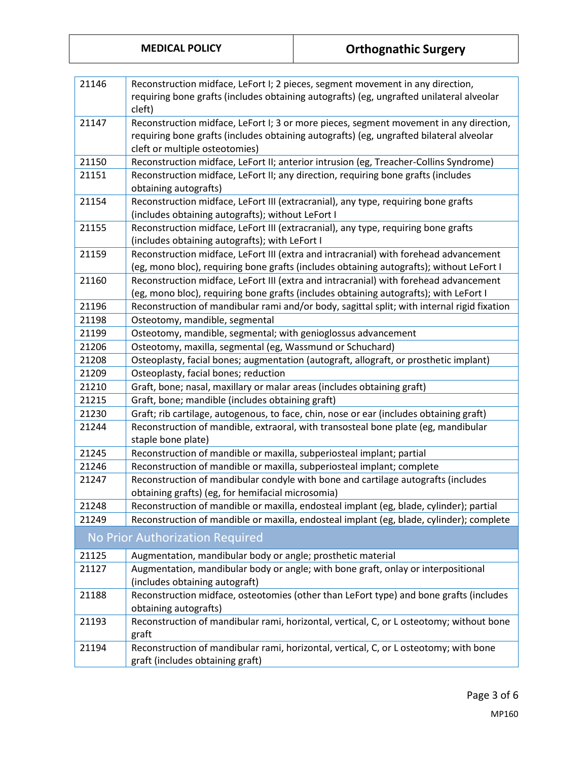|  |  | <b>MEDICAL POLICY</b> |
|--|--|-----------------------|
|  |  |                       |
|  |  |                       |

| 21146 | Reconstruction midface, LeFort I; 2 pieces, segment movement in any direction,              |
|-------|---------------------------------------------------------------------------------------------|
|       | requiring bone grafts (includes obtaining autografts) (eg, ungrafted unilateral alveolar    |
|       | cleft)                                                                                      |
| 21147 | Reconstruction midface, LeFort I; 3 or more pieces, segment movement in any direction,      |
|       | requiring bone grafts (includes obtaining autografts) (eg, ungrafted bilateral alveolar     |
|       | cleft or multiple osteotomies)                                                              |
| 21150 | Reconstruction midface, LeFort II; anterior intrusion (eg, Treacher-Collins Syndrome)       |
| 21151 | Reconstruction midface, LeFort II; any direction, requiring bone grafts (includes           |
|       | obtaining autografts)                                                                       |
| 21154 | Reconstruction midface, LeFort III (extracranial), any type, requiring bone grafts          |
|       | (includes obtaining autografts); without LeFort I                                           |
| 21155 | Reconstruction midface, LeFort III (extracranial), any type, requiring bone grafts          |
|       | (includes obtaining autografts); with LeFort I                                              |
| 21159 | Reconstruction midface, LeFort III (extra and intracranial) with forehead advancement       |
|       | (eg, mono bloc), requiring bone grafts (includes obtaining autografts); without LeFort I    |
| 21160 | Reconstruction midface, LeFort III (extra and intracranial) with forehead advancement       |
|       | (eg, mono bloc), requiring bone grafts (includes obtaining autografts); with LeFort I       |
| 21196 | Reconstruction of mandibular rami and/or body, sagittal split; with internal rigid fixation |
| 21198 | Osteotomy, mandible, segmental                                                              |
| 21199 | Osteotomy, mandible, segmental; with genioglossus advancement                               |
| 21206 | Osteotomy, maxilla, segmental (eg, Wassmund or Schuchard)                                   |
| 21208 | Osteoplasty, facial bones; augmentation (autograft, allograft, or prosthetic implant)       |
| 21209 | Osteoplasty, facial bones; reduction                                                        |
| 21210 | Graft, bone; nasal, maxillary or malar areas (includes obtaining graft)                     |
| 21215 | Graft, bone; mandible (includes obtaining graft)                                            |
| 21230 | Graft; rib cartilage, autogenous, to face, chin, nose or ear (includes obtaining graft)     |
| 21244 | Reconstruction of mandible, extraoral, with transosteal bone plate (eg, mandibular          |
|       | staple bone plate)                                                                          |
| 21245 | Reconstruction of mandible or maxilla, subperiosteal implant; partial                       |
| 21246 | Reconstruction of mandible or maxilla, subperiosteal implant; complete                      |
| 21247 | Reconstruction of mandibular condyle with bone and cartilage autografts (includes           |
|       | obtaining grafts) (eg, for hemifacial microsomia)                                           |
| 21248 | Reconstruction of mandible or maxilla, endosteal implant (eg, blade, cylinder); partial     |
| 21249 | Reconstruction of mandible or maxilla, endosteal implant (eg, blade, cylinder); complete    |
|       | No Prior Authorization Required                                                             |
| 21125 | Augmentation, mandibular body or angle; prosthetic material                                 |
| 21127 | Augmentation, mandibular body or angle; with bone graft, onlay or interpositional           |
|       | (includes obtaining autograft)                                                              |
| 21188 | Reconstruction midface, osteotomies (other than LeFort type) and bone grafts (includes      |
|       | obtaining autografts)                                                                       |
| 21193 | Reconstruction of mandibular rami, horizontal, vertical, C, or L osteotomy; without bone    |
|       | graft                                                                                       |
| 21194 | Reconstruction of mandibular rami, horizontal, vertical, C, or L osteotomy; with bone       |
|       | graft (includes obtaining graft)                                                            |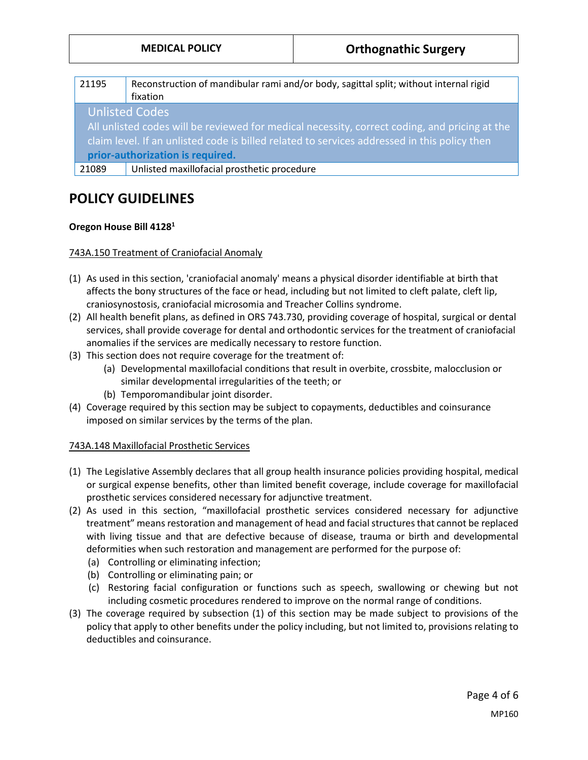| 21195                                                                                                                                                                                         | Reconstruction of mandibular rami and/or body, sagittal split; without internal rigid |  |
|-----------------------------------------------------------------------------------------------------------------------------------------------------------------------------------------------|---------------------------------------------------------------------------------------|--|
|                                                                                                                                                                                               | fixation                                                                              |  |
| <b>Unlisted Codes</b>                                                                                                                                                                         |                                                                                       |  |
| All unlisted codes will be reviewed for medical necessity, correct coding, and pricing at the<br>claim level. If an unlisted code is billed related to services addressed in this policy then |                                                                                       |  |
| prior-authorization is required.                                                                                                                                                              |                                                                                       |  |
| 21089                                                                                                                                                                                         | Unlisted maxillofacial prosthetic procedure                                           |  |
|                                                                                                                                                                                               |                                                                                       |  |

### <span id="page-3-0"></span>**POLICY GUIDELINES**

#### **Oregon House Bill 4128<sup>1</sup>**

#### 743A.150 Treatment of Craniofacial Anomaly

- (1) As used in this section, 'craniofacial anomaly' means a physical disorder identifiable at birth that affects the bony structures of the face or head, including but not limited to cleft palate, cleft lip, craniosynostosis, craniofacial microsomia and Treacher Collins syndrome.
- (2) All health benefit plans, as defined in ORS 743.730, providing coverage of hospital, surgical or dental services, shall provide coverage for dental and orthodontic services for the treatment of craniofacial anomalies if the services are medically necessary to restore function.
- (3) This section does not require coverage for the treatment of:
	- (a) Developmental maxillofacial conditions that result in overbite, crossbite, malocclusion or similar developmental irregularities of the teeth; or
	- (b) Temporomandibular joint disorder.
- (4) Coverage required by this section may be subject to copayments, deductibles and coinsurance imposed on similar services by the terms of the plan.

#### 743A.148 Maxillofacial Prosthetic Services

- (1) The Legislative Assembly declares that all group health insurance policies providing hospital, medical or surgical expense benefits, other than limited benefit coverage, include coverage for maxillofacial prosthetic services considered necessary for adjunctive treatment.
- (2) As used in this section, "maxillofacial prosthetic services considered necessary for adjunctive treatment" means restoration and management of head and facial structures that cannot be replaced with living tissue and that are defective because of disease, trauma or birth and developmental deformities when such restoration and management are performed for the purpose of:
	- (a) Controlling or eliminating infection;
	- (b) Controlling or eliminating pain; or
	- (c) Restoring facial configuration or functions such as speech, swallowing or chewing but not including cosmetic procedures rendered to improve on the normal range of conditions.
- (3) The coverage required by subsection (1) of this section may be made subject to provisions of the policy that apply to other benefits under the policy including, but not limited to, provisions relating to deductibles and coinsurance.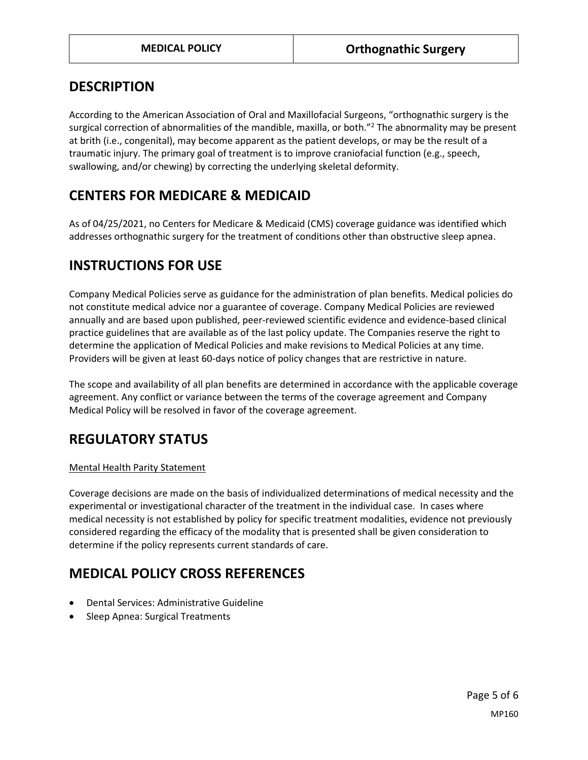### **DESCRIPTION**

According to the American Association of Oral and Maxillofacial Surgeons, "orthognathic surgery is the surgical correction of abnormalities of the mandible, maxilla, or both."<sup>2</sup> The abnormality may be present at brith (i.e., congenital), may become apparent as the patient develops, or may be the result of a traumatic injury. The primary goal of treatment is to improve craniofacial function (e.g., speech, swallowing, and/or chewing) by correcting the underlying skeletal deformity.

### **CENTERS FOR MEDICARE & MEDICAID**

As of 04/25/2021, no Centers for Medicare & Medicaid (CMS) coverage guidance was identified which addresses orthognathic surgery for the treatment of conditions other than obstructive sleep apnea.

### **INSTRUCTIONS FOR USE**

Company Medical Policies serve as guidance for the administration of plan benefits. Medical policies do not constitute medical advice nor a guarantee of coverage. Company Medical Policies are reviewed annually and are based upon published, peer-reviewed scientific evidence and evidence-based clinical practice guidelines that are available as of the last policy update. The Companies reserve the right to determine the application of Medical Policies and make revisions to Medical Policies at any time. Providers will be given at least 60-days notice of policy changes that are restrictive in nature.

The scope and availability of all plan benefits are determined in accordance with the applicable coverage agreement. Any conflict or variance between the terms of the coverage agreement and Company Medical Policy will be resolved in favor of the coverage agreement.

## **REGULATORY STATUS**

#### Mental Health Parity Statement

Coverage decisions are made on the basis of individualized determinations of medical necessity and the experimental or investigational character of the treatment in the individual case. In cases where medical necessity is not established by policy for specific treatment modalities, evidence not previously considered regarding the efficacy of the modality that is presented shall be given consideration to determine if the policy represents current standards of care.

### **MEDICAL POLICY CROSS REFERENCES**

- Dental Services: Administrative Guideline
- Sleep Apnea: Surgical Treatments